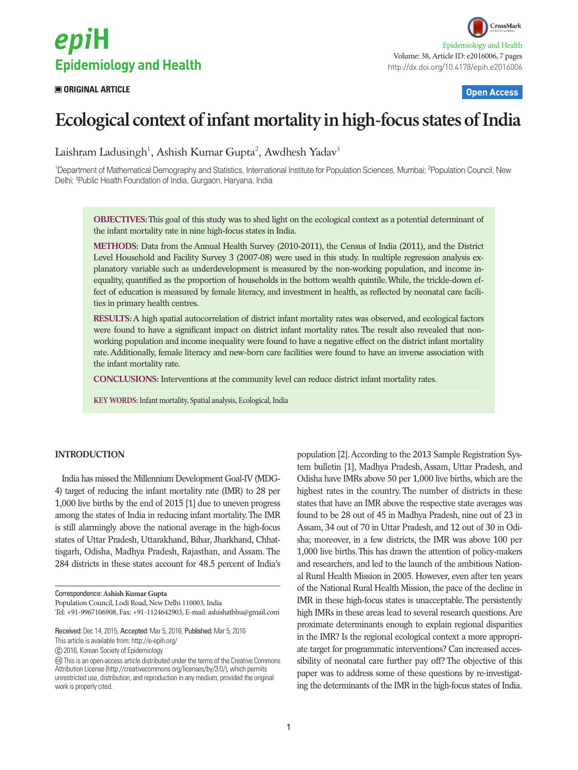# epiH **Epidemiology and Health**

### **ORIGINAL ARTICLE Open Access**

## **Ecological context of infant mortality in high-focus states of India**

Laishram Ladusingh<sup>1</sup>, Ashish Kumar Gupta<sup>2</sup>, Awdhesh Yadav<sup>3</sup>

<sup>1</sup>Department of Mathematical Demography and Statistics, International Institute for Population Sciences, Mumbai; <sup>2</sup>Population Council, New Delhi; <sup>3</sup>Public Health Foundation of India, Gurgaon, Haryana, India

**OBJECTIVES:** This goal of this study was to shed light on the ecological context as a potential determinant of the infant mortality rate in nine high-focus states in India.

**METHODS:** Data from the Annual Health Survey (2010-2011), the Census of India (2011), and the District Level Household and Facility Survey 3 (2007-08) were used in this study. In multiple regression analysis explanatory variable such as underdevelopment is measured by the non-working population, and income inequality, quantified as the proportion of households in the bottom wealth quintile. While, the trickle-down effect of education is measured by female literacy, and investment in health, as reflected by neonatal care facilities in primary health centres.

**RESULTS:** A high spatial autocorrelation of district infant mortality rates was observed, and ecological factors were found to have a significant impact on district infant mortality rates. The result also revealed that nonworking population and income inequality were found to have a negative effect on the district infant mortality rate. Additionally, female literacy and new-born care facilities were found to have an inverse association with the infant mortality rate.

**CONCLUSIONS:** Interventions at the community level can reduce district infant mortality rates.

**KEY WORDS:** Infant mortality, Spatial analysis, Ecological, India

#### **INTRODUCTION**

India has missed the Millennium Development Goal-IV (MDG-4) target of reducing the infant mortality rate (IMR) to 28 per 1,000 live births by the end of 2015 [1] due to uneven progress among the states of India in reducing infant mortality. The IMR is still alarmingly above the national average in the high-focus states of Uttar Pradesh, Uttarakhand, Bihar, Jharkhand, Chhattisgarh, Odisha, Madhya Pradesh, Rajasthan, and Assam. The 284 districts in these states account for 48.5 percent of India's

Correspondence: **Ashish Kumar Gupta** Population Council, Lodi Road, New Delhi 110003, India

Tel: +91-9967106908, Fax: +91-1124642903, E-mail: ashishatbhu@gmail.com

This article is available from: http://e-epih.org/

2016, Korean Society of Epidemiology

population [2]. According to the 2013 Sample Registration System bulletin [1], Madhya Pradesh, Assam, Uttar Pradesh, and Odisha have IMRs above 50 per 1,000 live births, which are the highest rates in the country. The number of districts in these states that have an IMR above the respective state averages was found to be 28 out of 45 in Madhya Pradesh, nine out of 23 in Assam, 34 out of 70 in Uttar Pradesh, and 12 out of 30 in Odisha; moreover, in a few districts, the IMR was above 100 per 1,000 live births. This has drawn the attention of policy-makers and researchers, and led to the launch of the ambitious National Rural Health Mission in 2005. However, even after ten years of the National Rural Health Mission, the pace of the decline in IMR in these high-focus states is unacceptable. The persistently high IMRs in these areas lead to several research questions. Are proximate determinants enough to explain regional disparities in the IMR? Is the regional ecological context a more appropriate target for programmatic interventions? Can increased accessibility of neonatal care further pay off? The objective of this paper was to address some of these questions by re-investigating the determinants of the IMR in the high-focus states of India.

Received: Dec 14, 2015, Accepted: Mar 5, 2016, Published: Mar 5, 2016

This is an open-access article distributed under the terms of the Creative Commons Attribution License (http://creativecommons.org/licenses/by/3.0/), which permits unrestricted use, distribution, and reproduction in any medium, provided the original work is properly cited.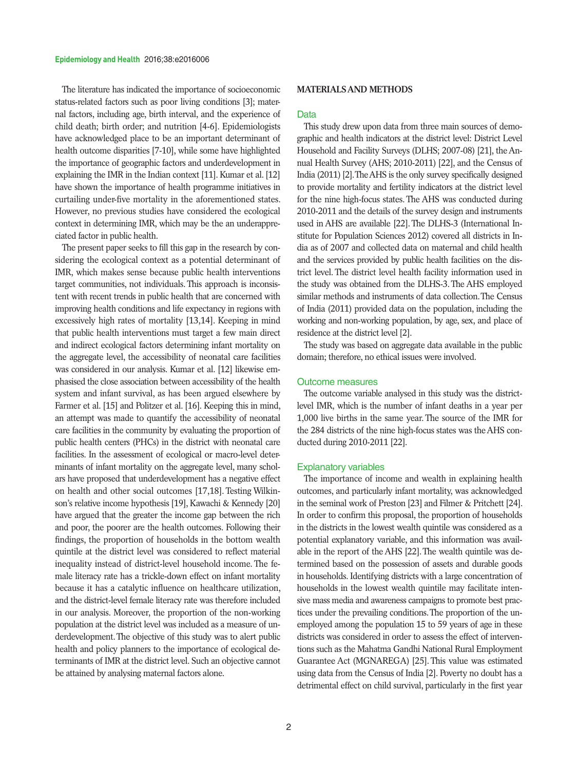### The literature has indicated the importance of socioeconomic status-related factors such as poor living conditions [3]; maternal factors, including age, birth interval, and the experience of child death; birth order; and nutrition [4-6]. Epidemiologists have acknowledged place to be an important determinant of health outcome disparities [7-10], while some have highlighted the importance of geographic factors and underdevelopment in explaining the IMR in the Indian context [11]. Kumar et al. [12] have shown the importance of health programme initiatives in curtailing under-five mortality in the aforementioned states. However, no previous studies have considered the ecological context in determining IMR, which may be the an underappreciated factor in public health.

The present paper seeks to fill this gap in the research by considering the ecological context as a potential determinant of IMR, which makes sense because public health interventions target communities, not individuals. This approach is inconsistent with recent trends in public health that are concerned with improving health conditions and life expectancy in regions with excessively high rates of mortality [13,14]. Keeping in mind that public health interventions must target a few main direct and indirect ecological factors determining infant mortality on the aggregate level, the accessibility of neonatal care facilities was considered in our analysis. Kumar et al. [12] likewise emphasised the close association between accessibility of the health system and infant survival, as has been argued elsewhere by Farmer et al. [15] and Politzer et al. [16]. Keeping this in mind, an attempt was made to quantify the accessibility of neonatal care facilities in the community by evaluating the proportion of public health centers (PHCs) in the district with neonatal care facilities. In the assessment of ecological or macro-level determinants of infant mortality on the aggregate level, many scholars have proposed that underdevelopment has a negative effect on health and other social outcomes [17,18]. Testing Wilkinson's relative income hypothesis [19], Kawachi & Kennedy [20] have argued that the greater the income gap between the rich and poor, the poorer are the health outcomes. Following their findings, the proportion of households in the bottom wealth quintile at the district level was considered to reflect material inequality instead of district-level household income. The female literacy rate has a trickle-down effect on infant mortality because it has a catalytic influence on healthcare utilization, and the district-level female literacy rate was therefore included in our analysis. Moreover, the proportion of the non-working population at the district level was included as a measure of underdevelopment. The objective of this study was to alert public health and policy planners to the importance of ecological determinants of IMR at the district level. Such an objective cannot be attained by analysing maternal factors alone.

#### **MATERIALS AND METHODS**

#### Data

This study drew upon data from three main sources of demographic and health indicators at the district level: District Level Household and Facility Surveys (DLHS; 2007-08) [21], the Annual Health Survey (AHS; 2010-2011) [22], and the Census of India (2011) [2]. The AHS is the only survey specifically designed to provide mortality and fertility indicators at the district level for the nine high-focus states. The AHS was conducted during 2010-2011 and the details of the survey design and instruments used in AHS are available [22]. The DLHS-3 (International Institute for Population Sciences 2012) covered all districts in India as of 2007 and collected data on maternal and child health and the services provided by public health facilities on the district level. The district level health facility information used in the study was obtained from the DLHS-3. The AHS employed similar methods and instruments of data collection. The Census of India (2011) provided data on the population, including the working and non-working population, by age, sex, and place of residence at the district level [2].

The study was based on aggregate data available in the public domain; therefore, no ethical issues were involved.

#### Outcome measures

The outcome variable analysed in this study was the districtlevel IMR, which is the number of infant deaths in a year per 1,000 live births in the same year. The source of the IMR for the 284 districts of the nine high-focus states was the AHS conducted during 2010-2011 [22].

#### Explanatory variables

The importance of income and wealth in explaining health outcomes, and particularly infant mortality, was acknowledged in the seminal work of Preston [23] and Filmer & Pritchett [24]. In order to confirm this proposal, the proportion of households in the districts in the lowest wealth quintile was considered as a potential explanatory variable, and this information was available in the report of the AHS [22]. The wealth quintile was determined based on the possession of assets and durable goods in households. Identifying districts with a large concentration of households in the lowest wealth quintile may facilitate intensive mass media and awareness campaigns to promote best practices under the prevailing conditions. The proportion of the unemployed among the population 15 to 59 years of age in these districts was considered in order to assess the effect of interventions such as the Mahatma Gandhi National Rural Employment Guarantee Act (MGNAREGA) [25]. This value was estimated using data from the Census of India [2]. Poverty no doubt has a detrimental effect on child survival, particularly in the first year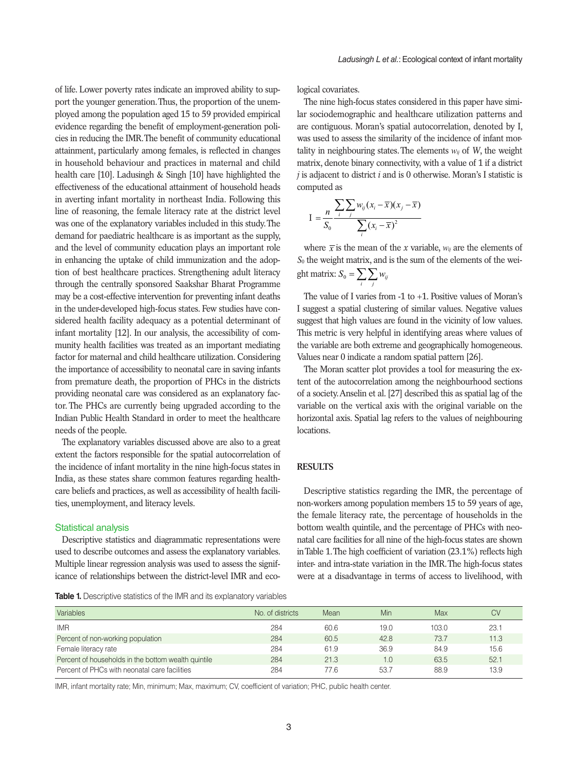of life. Lower poverty rates indicate an improved ability to support the younger generation. Thus, the proportion of the unemployed among the population aged 15 to 59 provided empirical evidence regarding the benefit of employment-generation policies in reducing the IMR. The benefit of community educational attainment, particularly among females, is reflected in changes in household behaviour and practices in maternal and child health care [10]. Ladusingh & Singh [10] have highlighted the effectiveness of the educational attainment of household heads in averting infant mortality in northeast India. Following this line of reasoning, the female literacy rate at the district level 2 was one of the explanatory variables included in this study. The demand for paediatric healthcare is as important as the supply, and the level of community education plays an important role in enhancing the uptake of child immunization and the adoption of best healthcare practices. Strengthening adult literacy through the centrally sponsored Saakshar Bharat Programme may be a cost-effective intervention for preventing infant deaths in the under-developed high-focus states. Few studies have considered health facility adequacy as a potential determinant of infant mortality [12]. In our analysis, the accessibility of community health facilities was treated as an important mediating factor for maternal and child healthcare utilization. Considering the importance of accessibility to neonatal care in saving infants from premature death, the proportion of PHCs in the districts providing neonatal care was considered as an explanatory factor. The PHCs are currently being upgraded according to the Indian Public Health Standard in order to meet the healthcare needs of the people. theast India. Following this<br>cy rate at the district level<br>is included in this study. The *ste ut une unstriet te* 

The explanatory variables discussed above are also to a great  $\frac{1}{2}$ extent the factors responsible for the spatial autocorrelation of the incidence of infant mortality in the nine high-focus states in RESULTS India, as these states share common features regarding healthcare beliefs and practices, as well as accessibility of health facili-<br>Descri ties, unemployment, and literacy levels.

#### Statistical analysis

Descriptive statistics and diagrammatic representations were used to describe outcomes and assess the explanatory variables. Multiple linear regression analysis was used to assess the significance of relationships between the district-level IMR and eco-

**Table 1.** Descriptive statistics of the IMR and its explanatory variables

logical covariates.

The nine high-focus states considered in this paper have similar sociodemographic and healthcare utilization patterns and are contiguous. Moran's spatial autocorrelation, denoted by I, was used to assess the similarity of the incidence of infant mortality in neighbouring states. The elements  $w_{ij}$  of *W*, the weight matrix, denote binary connectivity, with a value of 1 if a district *j* is adjacent to district *i* and is 0 otherwise. Moran's I statistic is computed as **Ecological Context of Infant Mortality**

$$
I = \frac{n}{S_0} \frac{\sum_{i} \sum_{j} w_{ij} (x_i - \overline{x})(x_j - \overline{x})}{\sum_{i} (x_i - \overline{x})^2}
$$

ation plays an important role where  $\bar{x}$  is the mean of the *x* variable,  $w_{ij}$  are the elements of Strengthening adult literacy ght matrix:  $S_0 = \sum_i \sum_j w_{ij}$ <br>Saakshar Bharat Programme where *x* is the mean of the *x* variable,  $w_{ij}$  are the elements of  $S_0$  the weight matrix, and is the sum of the elements of the weight

states. Few studies have con-<br>I suggest a spatial clustering of similar values. Negative values ysis, the accessibility of com-<br>This metric is very helpful in identifying areas where values of the entitization. Considering Values near 0 indicate a random spatial pattern [26]. The value of I varies from -1 to +1. Positive values of Moran's suggest that high values are found in the vicinity of low values. the variable are both extreme and geographically homogeneous.

The Model best provided a tool is measuring the en-<br>trion of PHCs in the districts tent of the autocorrelation among the neighbourhood sections of a society. Anselin et al. [27] described this as spatial lag of the The Moran scatter plants and the extent of the autocorrelation among the autocorrelation among the autocorrelation among the autocorrelation and the autocorrelation among the autocorrelation among the autocorrelation among order to meet the healthcare horizontal axis. Spatial lag refers to the values of neighbouring The Moran scatter plot provides a tool for measuring the exvariable on the vertical axis with the original variable on the locations.

#### $\mathcal{L}$ variable on the original variable on the  $\mathcal{L}$ **RESULTS**  $\alpha$  variable on the vertical axis with the original variable on the horizontal lag refers  $\alpha$

Descriptive statistics regarding the IMR, the percentage of the female literacy rate, the percentage of households in the mmatic representations were natal care facilities for all nine of the high-focus states are shown was used to assess the signif-<br>inter- and intra-state variation in the IMR. The high-focus states non-workers among population members 15 to 59 years of age, bottom wealth quintile, and the percentage of PHCs with neoin Table 1. The high coefficient of variation  $(23.1\%)$  reflects high were at a disadvantage in terms of access to livelihood, with

| Variables                                           | No. of districts | Mean | Min  | <b>Max</b> | <b>CV</b> |
|-----------------------------------------------------|------------------|------|------|------------|-----------|
| <b>IMR</b>                                          | 284              | 60.6 | 19.0 | 103.0      | 23.7      |
| Percent of non-working population                   | 284              | 60.5 | 42.8 | 73.7       | 11.3      |
| Female literacy rate                                | 284              | 61.9 | 36.9 | 84.9       | 15.6      |
| Percent of households in the bottom wealth quintile | 284              | 21.3 | 1.0  | 63.5       | 52.1      |
| Percent of PHCs with neonatal care facilities       | 284              | 77.6 | 53.7 | 88.9       | 13.9      |

-<br>IMR, infant mortality rate; Min, minimum; Max, maximum; CV, coefficient of variation; PHC, public health center.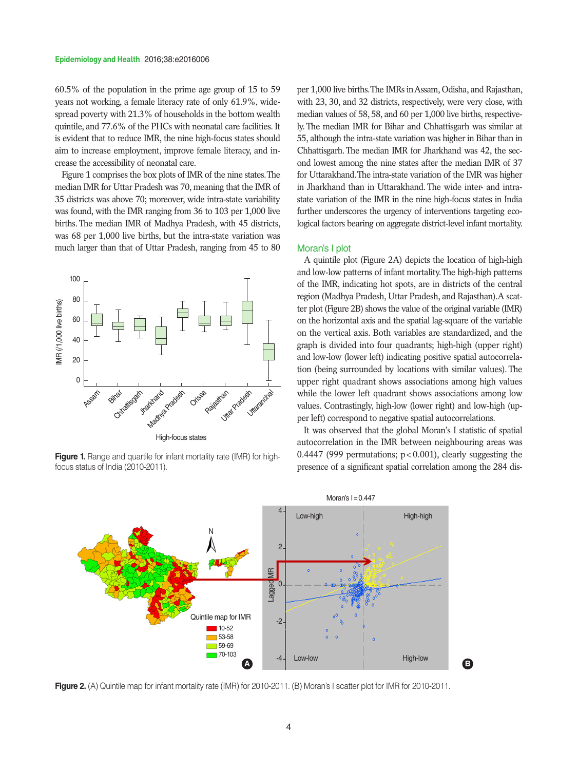60.5% of the population in the prime age group of 15 to 59 years not working, a female literacy rate of only 61.9%, widespread poverty with 21.3% of households in the bottom wealth quintile, and 77.6% of the PHCs with neonatal care facilities. It is evident that to reduce IMR, the nine high-focus states should aim to increase employment, improve female literacy, and increase the accessibility of neonatal care.

Figure 1 comprises the box plots of IMR of the nine states. The median IMR for Uttar Pradesh was 70, meaning that the IMR of 35 districts was above 70; moreover, wide intra-state variability was found, with the IMR ranging from 36 to 103 per 1,000 live births. The median IMR of Madhya Pradesh, with 45 districts, was 68 per 1,000 live births, but the intra-state variation was much larger than that of Uttar Pradesh, ranging from 45 to 80



**Figure 1.** Range and quartile for infant mortality rate (IMR) for highfocus status of India (2010-2011).

per 1,000 live births. The IMRs in Assam, Odisha, and Rajasthan, with 23, 30, and 32 districts, respectively, were very close, with median values of 58, 58, and 60 per 1,000 live births, respectively. The median IMR for Bihar and Chhattisgarh was similar at 55, although the intra-state variation was higher in Bihar than in Chhattisgarh. The median IMR for Jharkhand was 42, the second lowest among the nine states after the median IMR of 37 for Uttarakhand. The intra-state variation of the IMR was higher in Jharkhand than in Uttarakhand. The wide inter- and intrastate variation of the IMR in the nine high-focus states in India further underscores the urgency of interventions targeting ecological factors bearing on aggregate district-level infant mortality.

#### Moran's I plot

A quintile plot (Figure 2A) depicts the location of high-high and low-low patterns of infant mortality. The high-high patterns of the IMR, indicating hot spots, are in districts of the central region (Madhya Pradesh, Uttar Pradesh, and Rajasthan).A scatter plot (Figure 2B) shows the value of the original variable (IMR) on the horizontal axis and the spatial lag-square of the variable on the vertical axis. Both variables are standardized, and the graph is divided into four quadrants; high-high (upper right) and low-low (lower left) indicating positive spatial autocorrelation (being surrounded by locations with similar values). The upper right quadrant shows associations among high values while the lower left quadrant shows associations among low values. Contrastingly, high-low (lower right) and low-high (upper left) correspond to negative spatial autocorrelations.

It was observed that the global Moran's I statistic of spatial autocorrelation in the IMR between neighbouring areas was 0.4447 (999 permutations;  $p < 0.001$ ), clearly suggesting the presence of a significant spatial correlation among the 284 dis-



**Figure 2.** (A) Quintile map for infant mortality rate (IMR) for 2010-2011. (B) Moran's I scatter plot for IMR for 2010-2011.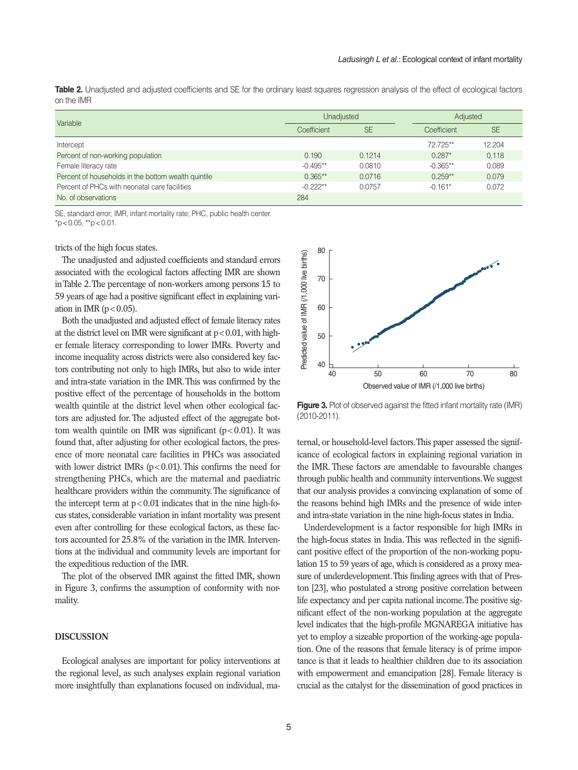|            | <b>Table 2.</b> Unadjusted and adjusted coefficients and SE for the ordinary least squares regression analysis of the effect of ecological factors |  |  |
|------------|----------------------------------------------------------------------------------------------------------------------------------------------------|--|--|
| on the IMR |                                                                                                                                                    |  |  |

| Variable                                            | Unadjusted  |           | Adjusted    |           |
|-----------------------------------------------------|-------------|-----------|-------------|-----------|
|                                                     | Coefficient | <b>SE</b> | Coefficient | <b>SE</b> |
| Intercept                                           |             |           | 72 725**    | 12.204    |
| Percent of non-working population                   | 0.190       | 0.1214    | $0.287*$    | 0.118     |
| Female literacy rate                                | $-0.495**$  | 0.0810    | $-0.365**$  | 0.089     |
| Percent of households in the bottom wealth quintile | $0.365**$   | 0.0716    | $0.259**$   | 0.079     |
| Percent of PHCs with neonatal care facilities       | $-0.222**$  | 0.0757    | $-0.161*$   | 0.072     |
| No. of observations                                 | 284         |           |             |           |

SE, standard error; IMR, infant mortality rate; PHC, public health center.  $*p$  < 0.05,  $*p$  < 0.01.

#### tricts of the high focus states.

The unadjusted and adjusted coefficients and standard errors associated with the ecological factors affecting IMR are shown in Table 2. The percentage of non-workers among persons 15 to 59 years of age had a positive significant effect in explaining variation in IMR  $(p<0.05)$ .

Both the unadjusted and adjusted effect of female literacy rates at the district level on IMR were significant at  $p < 0.01$ , with higher female literacy corresponding to lower IMRs. Poverty and income inequality across districts were also considered key factors contributing not only to high IMRs, but also to wide inter and intra-state variation in the IMR. This was confirmed by the positive effect of the percentage of households in the bottom wealth quintile at the district level when other ecological factors are adjusted for. The adjusted effect of the aggregate bottom wealth quintile on IMR was significant  $(p<0.01)$ . It was found that, after adjusting for other ecological factors, the presence of more neonatal care facilities in PHCs was associated with lower district IMRs  $(p<0.01)$ . This confirms the need for strengthening PHCs, which are the maternal and paediatric healthcare providers within the community. The significance of the intercept term at  $p < 0.01$  indicates that in the nine high-focus states, considerable variation in infant mortality was present even after controlling for these ecological factors, as these factors accounted for 25.8% of the variation in the IMR. Interventions at the individual and community levels are important for the expeditious reduction of the IMR.

The plot of the observed IMR against the fitted IMR, shown in Figure 3, confirms the assumption of conformity with normality.

#### **DISCUSSION**

Ecological analyses are important for policy interventions at the regional level, as such analyses explain regional variation more insightfully than explanations focused on individual, ma-



**Figure 3.** Plot of observed against the fitted infant mortality rate (IMR) (2010-2011).

ternal, or household-level factors. This paper assessed the significance of ecological factors in explaining regional variation in the IMR. These factors are amendable to favourable changes through public health and community interventions. We suggest that our analysis provides a convincing explanation of some of the reasons behind high IMRs and the presence of wide interand intra-state variation in the nine high-focus states in India.

Underdevelopment is a factor responsible for high IMRs in the high-focus states in India. This was reflected in the significant positive effect of the proportion of the non-working population 15 to 59 years of age, which is considered as a proxy measure of underdevelopment. This finding agrees with that of Preston [23], who postulated a strong positive correlation between life expectancy and per capita national income. The positive significant effect of the non-working population at the aggregate level indicates that the high-profile MGNAREGA initiative has yet to employ a sizeable proportion of the working-age population. One of the reasons that female literacy is of prime importance is that it leads to healthier children due to its association with empowerment and emancipation [28]. Female literacy is crucial as the catalyst for the dissemination of good practices in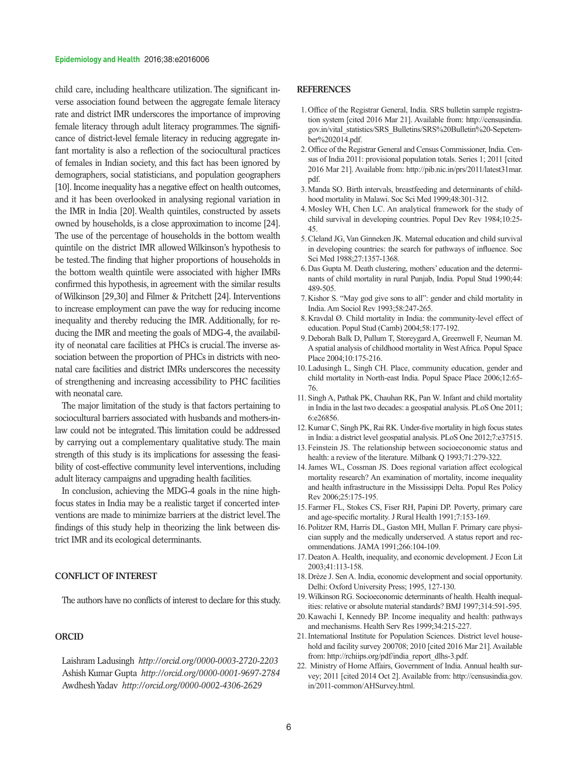#### **Epidemiology and Health** 2016;38:e2016006

child care, including healthcare utilization. The significant inverse association found between the aggregate female literacy rate and district IMR underscores the importance of improving female literacy through adult literacy programmes. The significance of district-level female literacy in reducing aggregate infant mortality is also a reflection of the sociocultural practices of females in Indian society, and this fact has been ignored by demographers, social statisticians, and population geographers [10]. Income inequality has a negative effect on health outcomes, and it has been overlooked in analysing regional variation in the IMR in India [20]. Wealth quintiles, constructed by assets owned by households, is a close approximation to income [24]. The use of the percentage of households in the bottom wealth quintile on the district IMR allowed Wilkinson's hypothesis to be tested. The finding that higher proportions of households in the bottom wealth quintile were associated with higher IMRs confirmed this hypothesis, in agreement with the similar results of Wilkinson [29,30] and Filmer & Pritchett [24]. Interventions to increase employment can pave the way for reducing income inequality and thereby reducing the IMR. Additionally, for reducing the IMR and meeting the goals of MDG-4, the availability of neonatal care facilities at PHCs is crucial. The inverse association between the proportion of PHCs in districts with neonatal care facilities and district IMRs underscores the necessity of strengthening and increasing accessibility to PHC facilities with neonatal care.

The major limitation of the study is that factors pertaining to sociocultural barriers associated with husbands and mothers-inlaw could not be integrated. This limitation could be addressed by carrying out a complementary qualitative study. The main strength of this study is its implications for assessing the feasibility of cost-effective community level interventions, including adult literacy campaigns and upgrading health facilities.

In conclusion, achieving the MDG-4 goals in the nine highfocus states in India may be a realistic target if concerted interventions are made to minimize barriers at the district level. The findings of this study help in theorizing the link between district IMR and its ecological determinants.

#### **CONFLICT OF INTEREST**

The authors have no conflicts of interest to declare for this study.

#### **ORCID**

Laishram Ladusingh *http://orcid.org/0000-0003-2720-2203* Ashish Kumar Gupta *http://orcid.org/0000-0001-9697-2784* Awdhesh Yadav *http://orcid.org/0000-0002-4306-2629*

#### **REFERENCES**

- 1. Office of the Registrar General, India. SRS bulletin sample registration system [cited 2016 Mar 21]. Available from: http://censusindia. gov.in/vital\_statistics/SRS\_Bulletins/SRS%20Bulletin%20-Sepetember%202014.pdf.
- 2. Office of the Registrar General and Census Commissioner, India. Census of India 2011: provisional population totals. Series 1; 2011 [cited 2016 Mar 21]. Available from: http://pib.nic.in/prs/2011/latest31mar. pdf.
- 3. Manda SO. Birth intervals, breastfeeding and determinants of childhood mortality in Malawi. Soc Sci Med 1999;48:301-312.
- 4. Mosley WH, Chen LC. An analytical framework for the study of child survival in developing countries. Popul Dev Rev 1984;10:25- 45.
- 5. Cleland JG, Van Ginneken JK. Maternal education and child survival in developing countries: the search for pathways of influence. Soc Sci Med 1988;27:1357-1368.
- 6. Das Gupta M. Death clustering, mothers' education and the determinants of child mortality in rural Punjab, India. Popul Stud 1990;44: 489-505.
- 7. Kishor S. "May god give sons to all": gender and child mortality in India. Am Sociol Rev 1993;58:247-265.
- 8. Kravdal Ø. Child mortality in India: the community-level effect of education. Popul Stud (Camb) 2004;58:177-192.
- 9. Deborah Balk D, Pullum T, Storeygard A, Greenwell F, Neuman M. A spatial analysis of childhood mortality in West Africa. Popul Space Place 2004;10:175-216.
- 10. Ladusingh L, Singh CH. Place, community education, gender and child mortality in North-east India. Popul Space Place 2006;12:65- 76.
- 11. Singh A, Pathak PK, Chauhan RK, Pan W. Infant and child mortality in India in the last two decades: a geospatial analysis. PLoS One 2011; 6:e26856.
- 12. Kumar C, Singh PK, Rai RK. Under-five mortality in high focus states in India: a district level geospatial analysis. PLoS One 2012;7:e37515.
- 13. Feinstein JS. The relationship between socioeconomic status and health: a review of the literature. Milbank Q 1993;71:279-322.
- 14. James WL, Cossman JS. Does regional variation affect ecological mortality research? An examination of mortality, income inequality and health infrastructure in the Mississippi Delta. Popul Res Policy Rev 2006;25:175-195.
- 15. Farmer FL, Stokes CS, Fiser RH, Papini DP. Poverty, primary care and age-specific mortality. J Rural Health 1991;7:153-169.
- 16. Politzer RM, Harris DL, Gaston MH, Mullan F. Primary care physician supply and the medically underserved. A status report and recommendations. JAMA 1991;266:104-109.
- 17. Deaton A. Health, inequality, and economic development. J Econ Lit 2003;41:113-158.
- 18. Drèze J. SenA. India, economic development and social opportunity. Delhi: Oxford University Press; 1995, 127-130.
- 19. Wilkinson RG. Socioeconomic determinants of health. Health inequalities: relative or absolute material standards? BMJ 1997;314:591-595.
- 20. Kawachi I, Kennedy BP. Income inequality and health: pathways and mechanisms. Health Serv Res 1999;34:215-227.
- 21. International Institute for Population Sciences. District level household and facility survey 200708; 2010 [cited 2016 Mar 21]. Available from: http://rchiips.org/pdf/india\_report\_dlhs-3.pdf.
- 22. Ministry of Home Affairs, Government of India. Annual health survey; 2011 [cited 2014 Oct 2]. Available from: http://censusindia.gov. in/2011-common/AHSurvey.html.